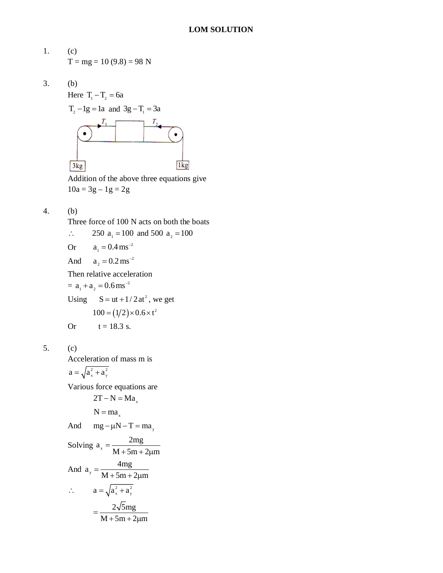1. (c)  
\n
$$
T = mg = 10 (9.8) = 98 N
$$

$$
3. \qquad (b)
$$



Addition of the above three equations give  $10a = 3g - 1g = 2g$ 

$$
4. \qquad \text{(b)}
$$

Three force of 100 N acts on both the boats

.. 250 a<sub>1</sub> = 100 and 500 a<sub>2</sub> = 100  
Or 
$$
a_1 = 0.4 \text{ ms}^{-2}
$$
  
And  $a_2 = 0.2 \text{ ms}^{-2}$   
Then relative acceleration  
=  $a_1 + a_2 = 0.6 \text{ ms}^{-2}$   
Using  $S = ut + 1/2 at^2$ , we get  
 $100 = (1/2) \times 0.6 \times t^2$ 

Or 
$$
t = 18.3
$$
 s.

$$
5. (c)
$$

Acceleration of mass m is

$$
a = \sqrt{a_x^2 + a_y^2}
$$

Various force equations are

values force equations are

\n
$$
2T - N = Ma_x
$$
\n
$$
N = ma_x
$$
\nAnd 
$$
mg - \mu N - T = ma_y
$$

\nSolving 
$$
a_x = \frac{2mg}{M + 5m + 2\mu m}
$$

\nAnd 
$$
a_y = \frac{4mg}{M + 5m + 2\mu m}
$$

\n
$$
\therefore a = \sqrt{a_x^2 + a_y^2}
$$
\n
$$
= \frac{2\sqrt{5}mg}{M + 5m + 2\mu m}
$$

$$
M + 5m + 2\mu m
$$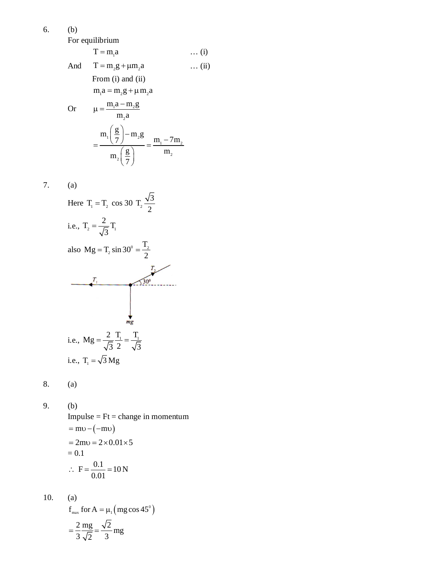6. (b)

For equilibrium

$$
T = m_1 a \qquad \qquad \dots (i)
$$
  
And 
$$
T = m_2 g + \mu m_2 a \qquad \qquad \dots (ii)
$$
  
From (i) and (ii)  

$$
m_1 a = m_2 g + \mu m_2 a
$$

2

Or 
$$
\mu = \frac{m_1 a - m_2 g}{m_2 a}
$$
  

$$
= \frac{m_1 \left(\frac{g}{7}\right) - m_2 g}{m_2 \left(\frac{g}{7}\right)} = \frac{m_1 - 7m_2}{m_2}
$$

7. (a)

3 Here T T 1 2 cos 30 <sup>2</sup> T 2 2 i.e., 2 1 T T 3 <sup>T</sup> Mg T sin 30 also <sup>0</sup> <sup>2</sup> 2 2 i.e., T T 1 1 <sup>2</sup> Mg 3 3 2 i.e., T 3 Mg <sup>1</sup>

8. (a)

9. (b)

(b)  
Impulse = Ft = change in momentum  
= mv-(-mv)  
= 2mv = 
$$
2 \times 0.01 \times 5
$$
  
= 0.1  
 $\therefore$  F =  $\frac{0.1}{0.01}$  = 10 N

10. (a)  
\n
$$
f_{\text{max}} \text{ for } A = \mu_1 \left( \text{mg } \cos 45^\circ \right)
$$
\n
$$
= \frac{2}{3} \frac{\text{mg}}{\sqrt{2}} = \frac{\sqrt{2}}{3} \text{mg}
$$